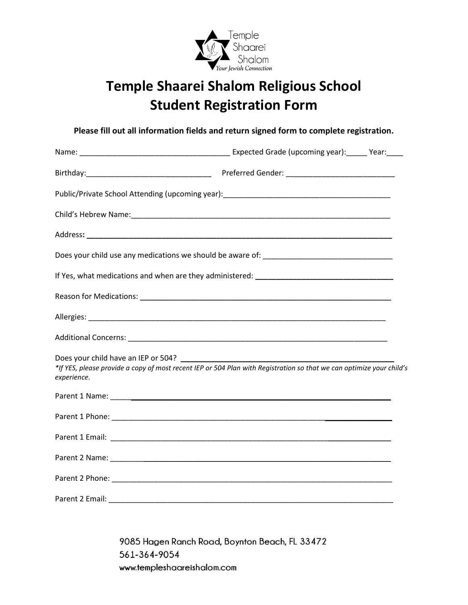

## **Temple Shaarei Shalom Religious School Student Registration Form**

**Please fill out all information fields and return signed form to complete registration.**

| experience. | *If YES, please provide a copy of most recent IEP or 504 Plan with Registration so that we can optimize your child's |  |
|-------------|----------------------------------------------------------------------------------------------------------------------|--|
|             |                                                                                                                      |  |
|             |                                                                                                                      |  |
|             |                                                                                                                      |  |
|             |                                                                                                                      |  |
|             |                                                                                                                      |  |
|             |                                                                                                                      |  |

9085 Hagen Ranch Road, Boynton Beach, FL 33472 561-364-9054 www.templeshaareishalom.com